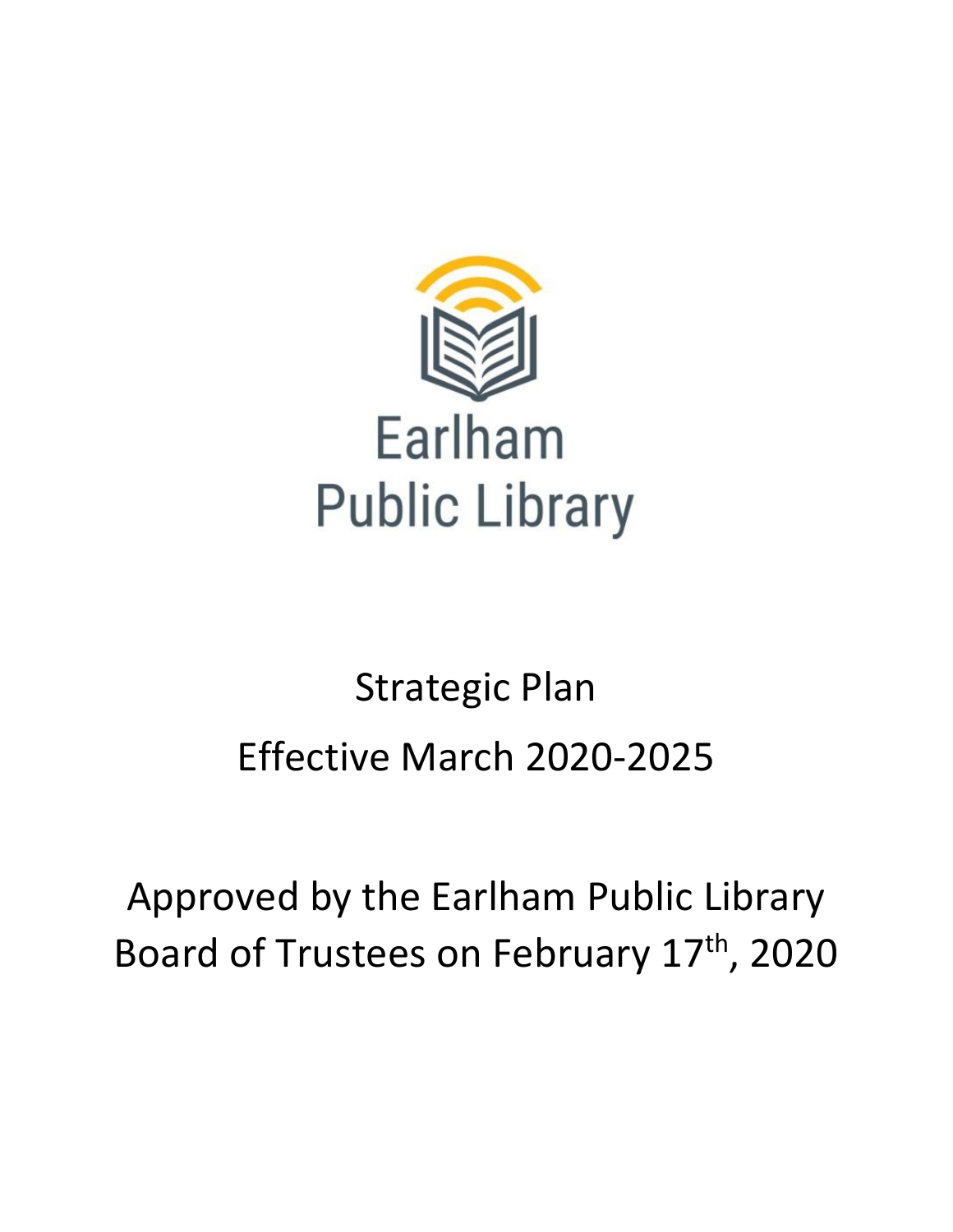

# Strategic Plan Effective March 2020-2025

## Approved by the Earlham Public Library Board of Trustees on February 17<sup>th</sup>, 2020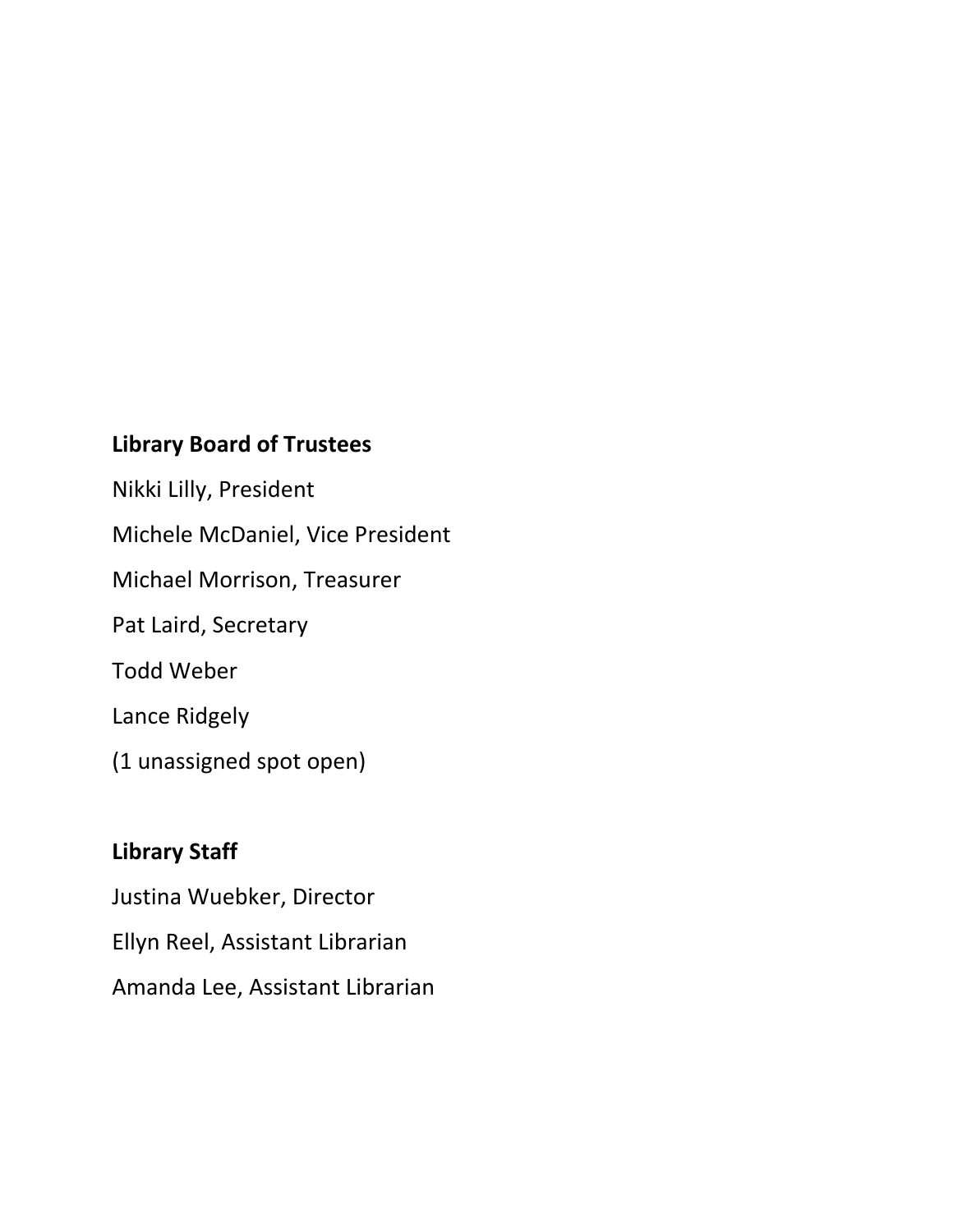#### **Library Board of Trustees**

Nikki Lilly, President Michele McDaniel, Vice President Michael Morrison, Treasurer Pat Laird, Secretary Todd Weber Lance Ridgely (1 unassigned spot open)

#### **Library Staff**

Justina Wuebker, Director Ellyn Reel, Assistant Librarian Amanda Lee, Assistant Librarian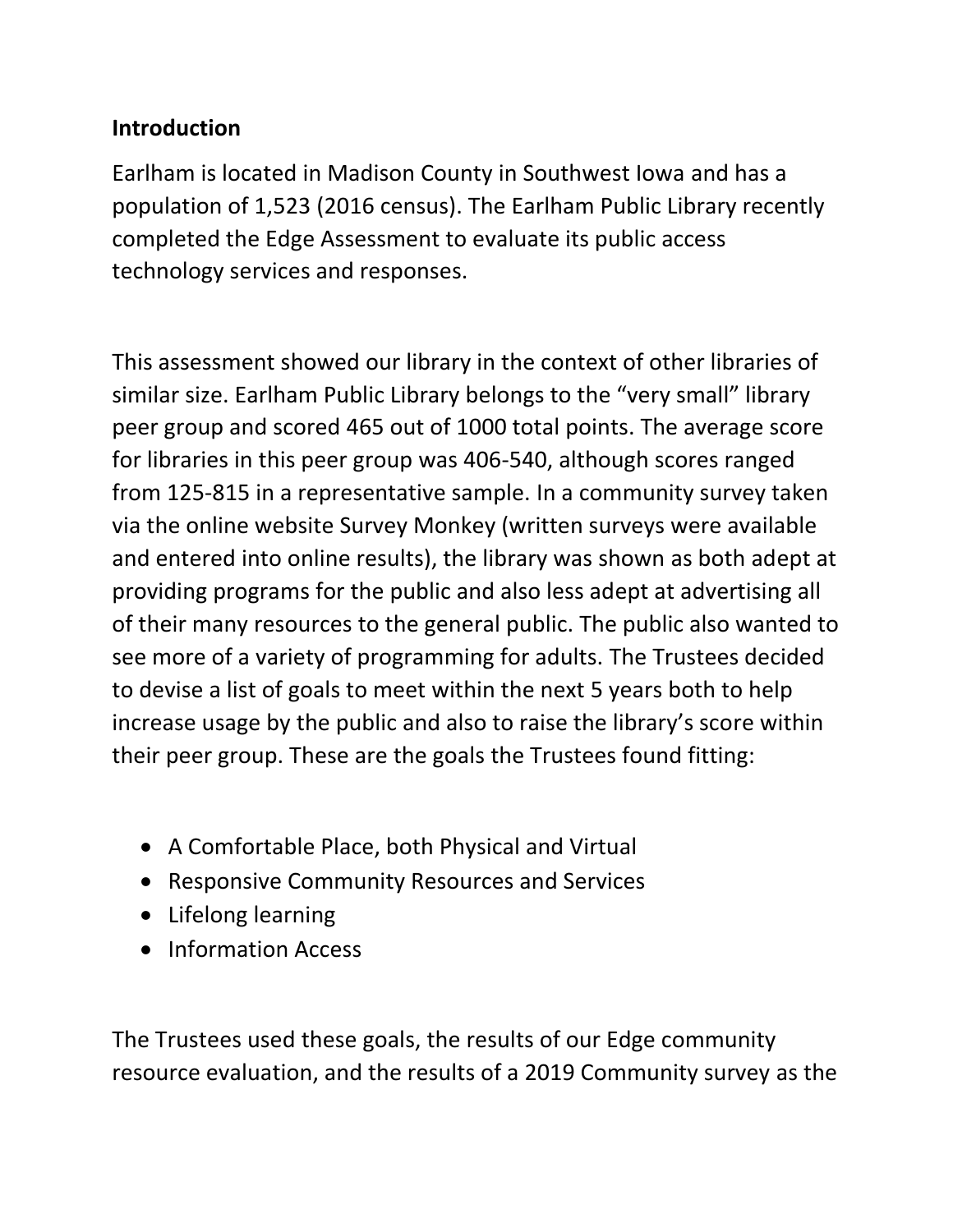#### **Introduction**

Earlham is located in Madison County in Southwest Iowa and has a population of 1,523 (2016 census). The Earlham Public Library recently completed the Edge Assessment to evaluate its public access technology services and responses.

This assessment showed our library in the context of other libraries of similar size. Earlham Public Library belongs to the "very small" library peer group and scored 465 out of 1000 total points. The average score for libraries in this peer group was 406-540, although scores ranged from 125-815 in a representative sample. In a community survey taken via the online website Survey Monkey (written surveys were available and entered into online results), the library was shown as both adept at providing programs for the public and also less adept at advertising all of their many resources to the general public. The public also wanted to see more of a variety of programming for adults. The Trustees decided to devise a list of goals to meet within the next 5 years both to help increase usage by the public and also to raise the library's score within their peer group. These are the goals the Trustees found fitting:

- A Comfortable Place, both Physical and Virtual
- Responsive Community Resources and Services
- Lifelong learning
- Information Access

The Trustees used these goals, the results of our Edge community resource evaluation, and the results of a 2019 Community survey as the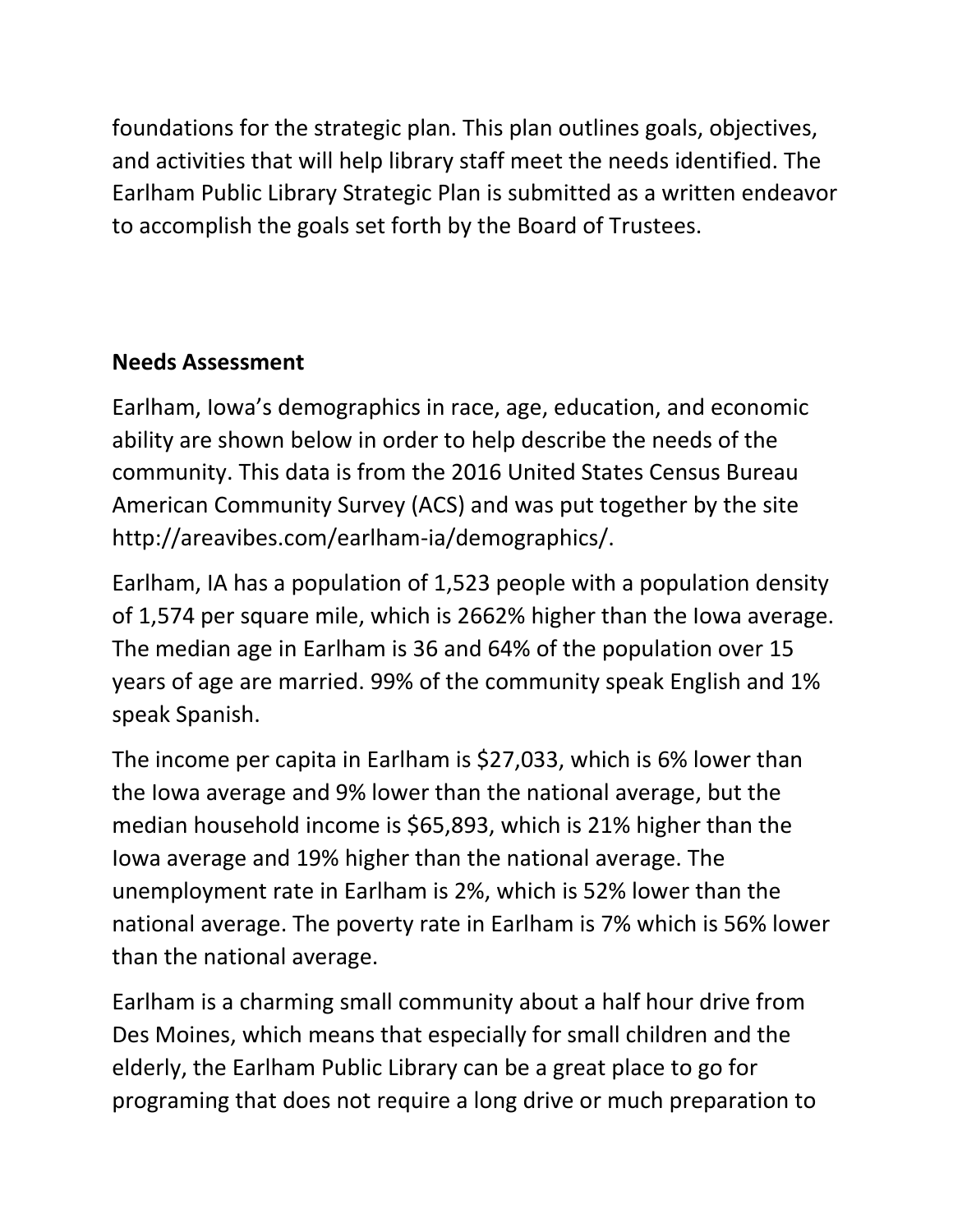foundations for the strategic plan. This plan outlines goals, objectives, and activities that will help library staff meet the needs identified. The Earlham Public Library Strategic Plan is submitted as a written endeavor to accomplish the goals set forth by the Board of Trustees.

#### **Needs Assessment**

Earlham, Iowa's demographics in race, age, education, and economic ability are shown below in order to help describe the needs of the community. This data is from the 2016 United States Census Bureau American Community Survey (ACS) and was put together by the site http://areavibes.com/earlham-ia/demographics/.

Earlham, IA has a population of 1,523 people with a population density of 1,574 per square mile, which is 2662% higher than the Iowa average. The median age in Earlham is 36 and 64% of the population over 15 years of age are married. 99% of the community speak English and 1% speak Spanish.

The income per capita in Earlham is \$27,033, which is 6% lower than the Iowa average and 9% lower than the national average, but the median household income is \$65,893, which is 21% higher than the Iowa average and 19% higher than the national average. The unemployment rate in Earlham is 2%, which is 52% lower than the national average. The poverty rate in Earlham is 7% which is 56% lower than the national average.

Earlham is a charming small community about a half hour drive from Des Moines, which means that especially for small children and the elderly, the Earlham Public Library can be a great place to go for programing that does not require a long drive or much preparation to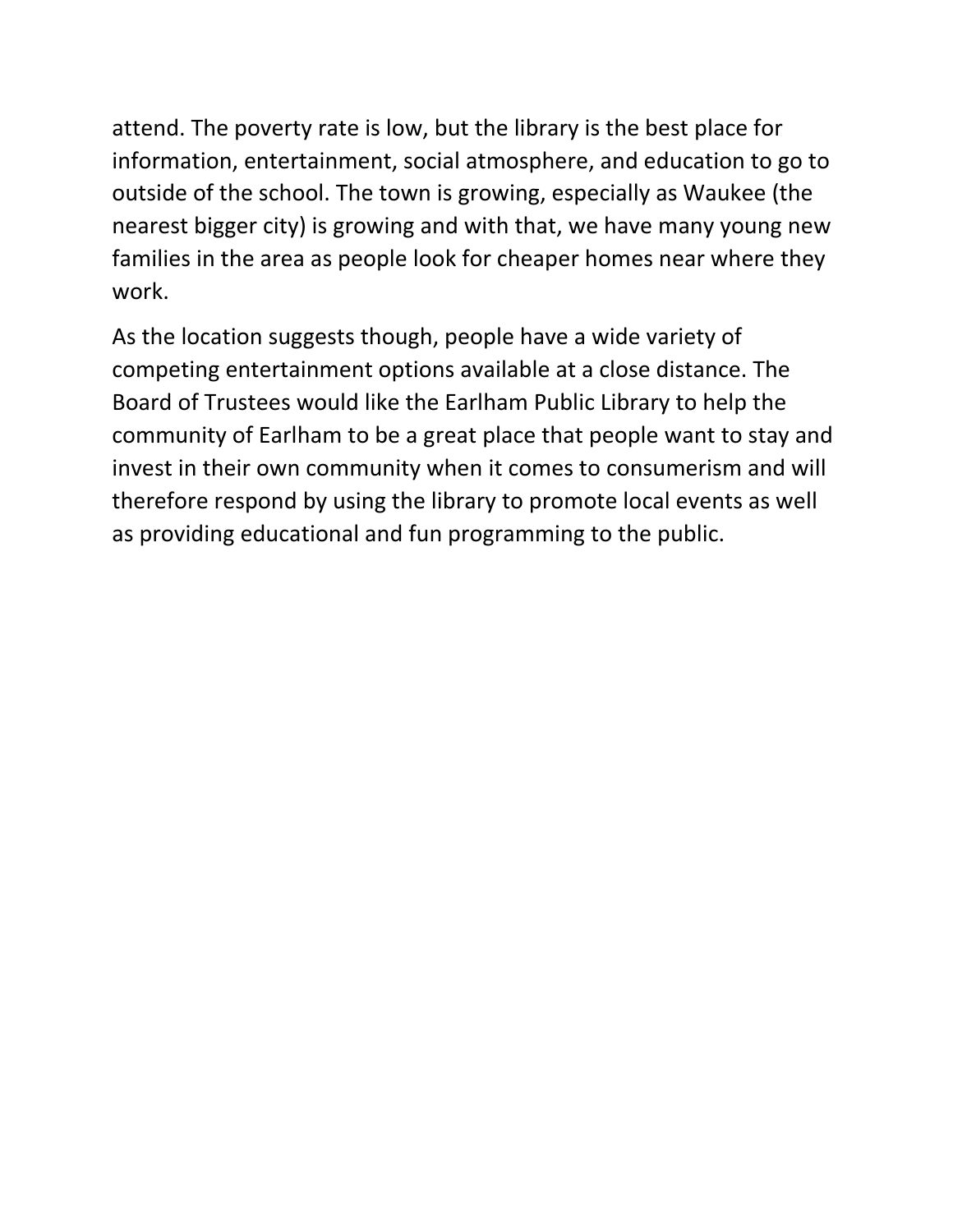attend. The poverty rate is low, but the library is the best place for information, entertainment, social atmosphere, and education to go to outside of the school. The town is growing, especially as Waukee (the nearest bigger city) is growing and with that, we have many young new families in the area as people look for cheaper homes near where they work.

As the location suggests though, people have a wide variety of competing entertainment options available at a close distance. The Board of Trustees would like the Earlham Public Library to help the community of Earlham to be a great place that people want to stay and invest in their own community when it comes to consumerism and will therefore respond by using the library to promote local events as well as providing educational and fun programming to the public.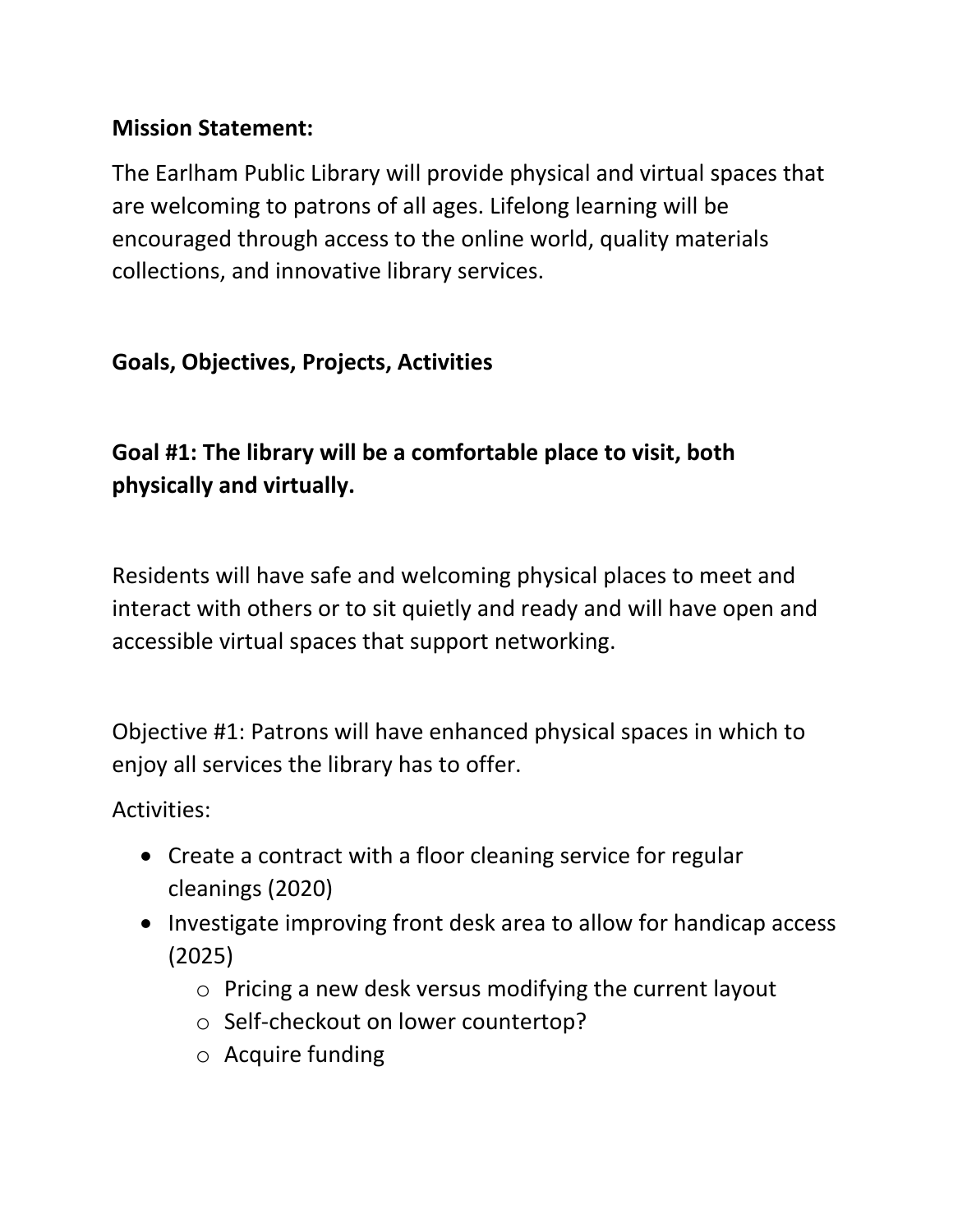#### **Mission Statement:**

The Earlham Public Library will provide physical and virtual spaces that are welcoming to patrons of all ages. Lifelong learning will be encouraged through access to the online world, quality materials collections, and innovative library services.

#### **Goals, Objectives, Projects, Activities**

## **Goal #1: The library will be a comfortable place to visit, both physically and virtually.**

Residents will have safe and welcoming physical places to meet and interact with others or to sit quietly and ready and will have open and accessible virtual spaces that support networking.

Objective #1: Patrons will have enhanced physical spaces in which to enjoy all services the library has to offer.

- Create a contract with a floor cleaning service for regular cleanings (2020)
- Investigate improving front desk area to allow for handicap access (2025)
	- o Pricing a new desk versus modifying the current layout
	- o Self-checkout on lower countertop?
	- o Acquire funding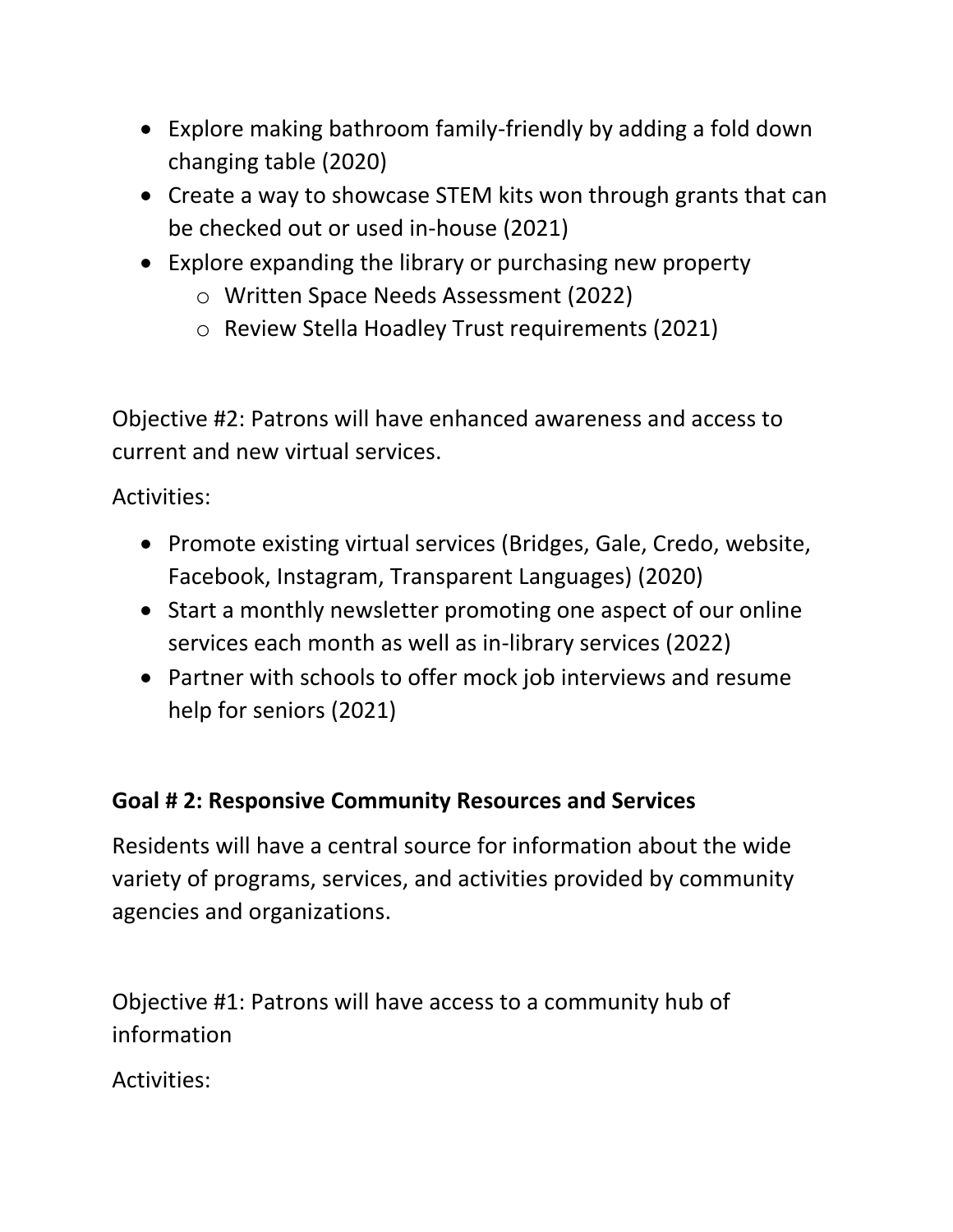- Explore making bathroom family-friendly by adding a fold down changing table (2020)
- Create a way to showcase STEM kits won through grants that can be checked out or used in-house (2021)
- Explore expanding the library or purchasing new property
	- o Written Space Needs Assessment (2022)
	- o Review Stella Hoadley Trust requirements (2021)

Objective #2: Patrons will have enhanced awareness and access to current and new virtual services.

Activities:

- Promote existing virtual services (Bridges, Gale, Credo, website, Facebook, Instagram, Transparent Languages) (2020)
- Start a monthly newsletter promoting one aspect of our online services each month as well as in-library services (2022)
- Partner with schools to offer mock job interviews and resume help for seniors (2021)

#### **Goal # 2: Responsive Community Resources and Services**

Residents will have a central source for information about the wide variety of programs, services, and activities provided by community agencies and organizations.

Objective #1: Patrons will have access to a community hub of information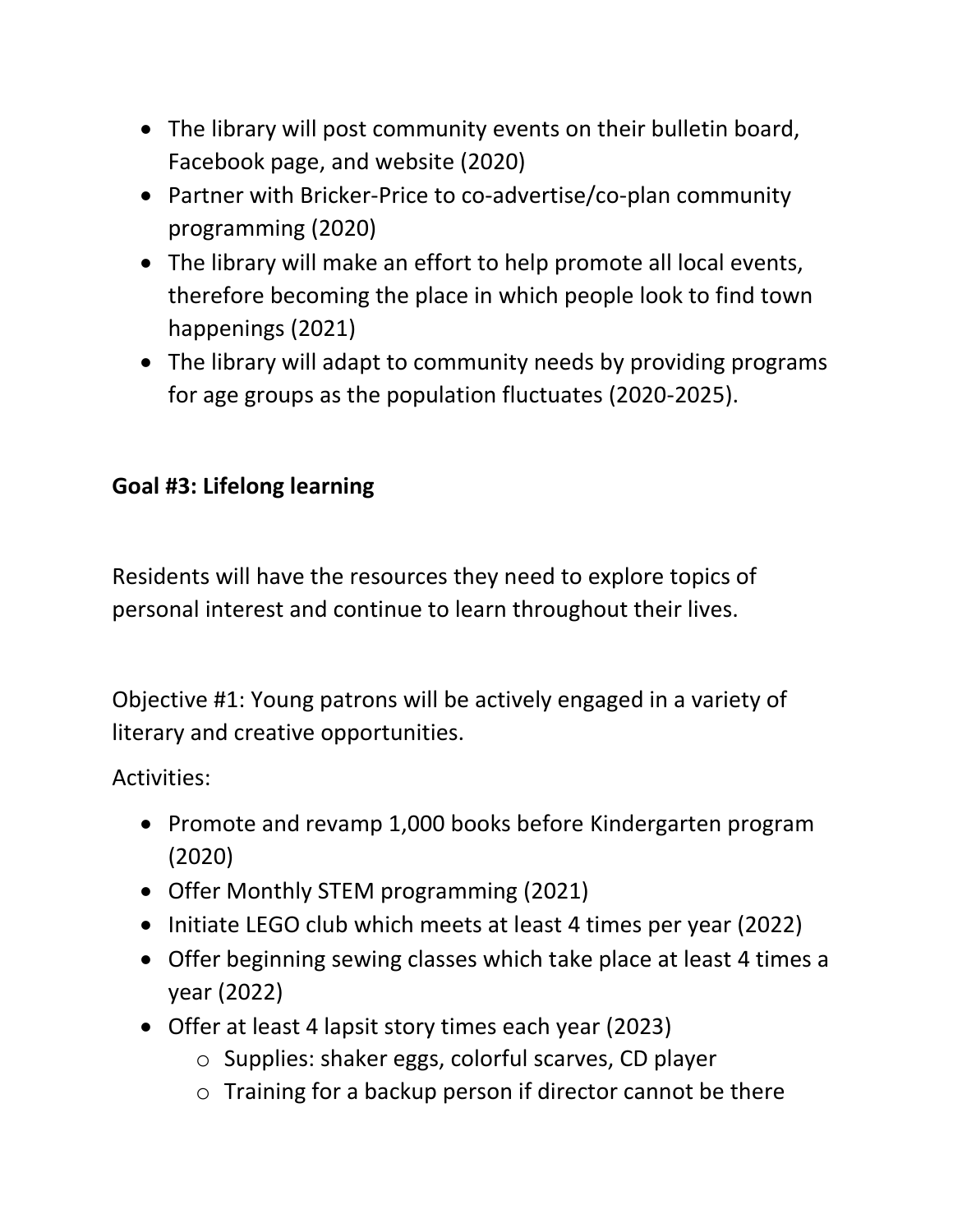- The library will post community events on their bulletin board, Facebook page, and website (2020)
- Partner with Bricker-Price to co-advertise/co-plan community programming (2020)
- The library will make an effort to help promote all local events, therefore becoming the place in which people look to find town happenings (2021)
- The library will adapt to community needs by providing programs for age groups as the population fluctuates (2020-2025).

## **Goal #3: Lifelong learning**

Residents will have the resources they need to explore topics of personal interest and continue to learn throughout their lives.

Objective #1: Young patrons will be actively engaged in a variety of literary and creative opportunities.

- Promote and revamp 1,000 books before Kindergarten program (2020)
- Offer Monthly STEM programming (2021)
- Initiate LEGO club which meets at least 4 times per year (2022)
- Offer beginning sewing classes which take place at least 4 times a year (2022)
- Offer at least 4 lapsit story times each year (2023)
	- o Supplies: shaker eggs, colorful scarves, CD player
	- o Training for a backup person if director cannot be there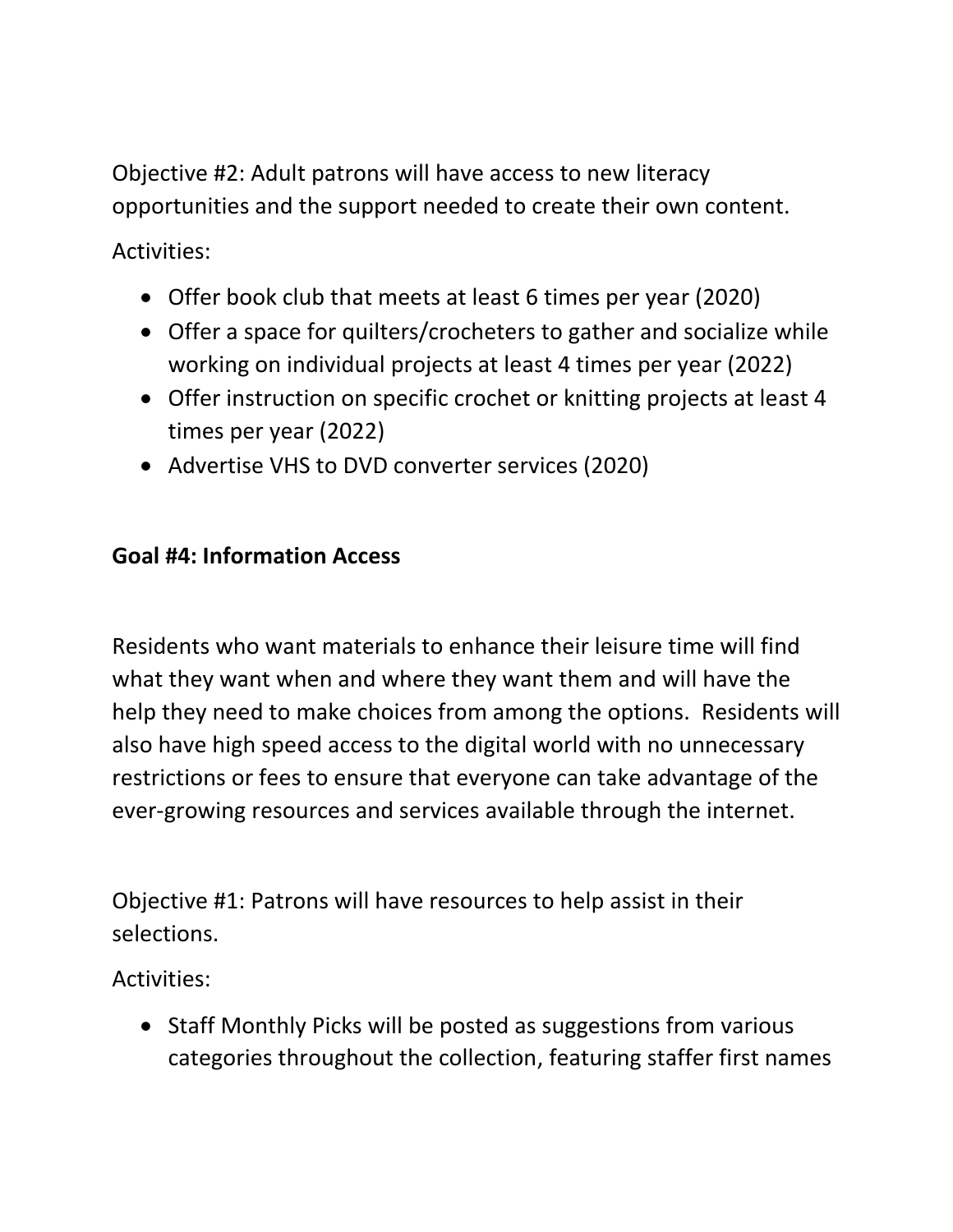Objective #2: Adult patrons will have access to new literacy opportunities and the support needed to create their own content.

Activities:

- Offer book club that meets at least 6 times per year (2020)
- Offer a space for quilters/crocheters to gather and socialize while working on individual projects at least 4 times per year (2022)
- Offer instruction on specific crochet or knitting projects at least 4 times per year (2022)
- Advertise VHS to DVD converter services (2020)

#### **Goal #4: Information Access**

Residents who want materials to enhance their leisure time will find what they want when and where they want them and will have the help they need to make choices from among the options. Residents will also have high speed access to the digital world with no unnecessary restrictions or fees to ensure that everyone can take advantage of the ever-growing resources and services available through the internet.

Objective #1: Patrons will have resources to help assist in their selections.

Activities:

• Staff Monthly Picks will be posted as suggestions from various categories throughout the collection, featuring staffer first names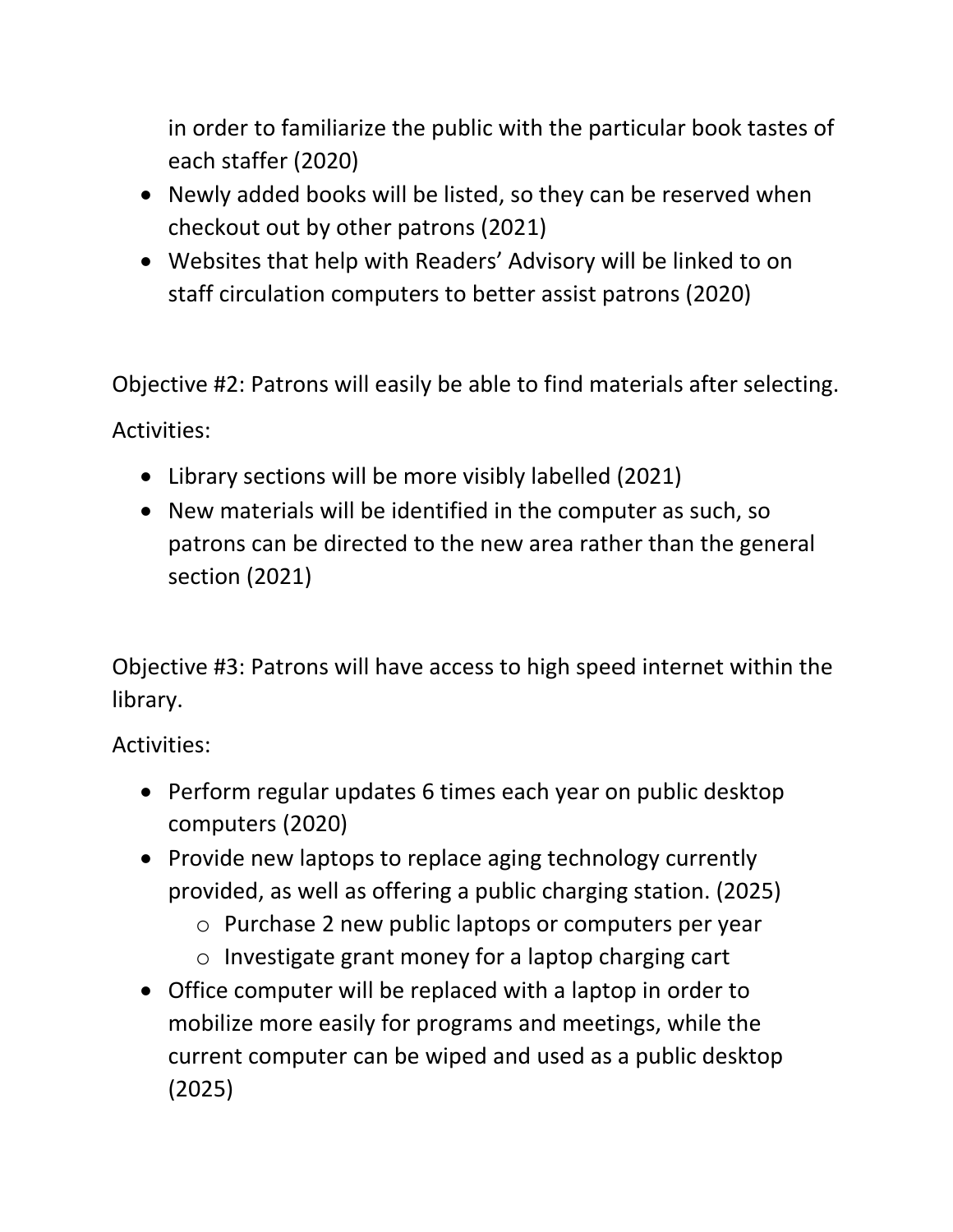in order to familiarize the public with the particular book tastes of each staffer (2020)

- Newly added books will be listed, so they can be reserved when checkout out by other patrons (2021)
- Websites that help with Readers' Advisory will be linked to on staff circulation computers to better assist patrons (2020)

Objective #2: Patrons will easily be able to find materials after selecting. Activities:

- Library sections will be more visibly labelled (2021)
- New materials will be identified in the computer as such, so patrons can be directed to the new area rather than the general section (2021)

Objective #3: Patrons will have access to high speed internet within the library.

- Perform regular updates 6 times each year on public desktop computers (2020)
- Provide new laptops to replace aging technology currently provided, as well as offering a public charging station. (2025)
	- o Purchase 2 new public laptops or computers per year
	- o Investigate grant money for a laptop charging cart
- Office computer will be replaced with a laptop in order to mobilize more easily for programs and meetings, while the current computer can be wiped and used as a public desktop (2025)